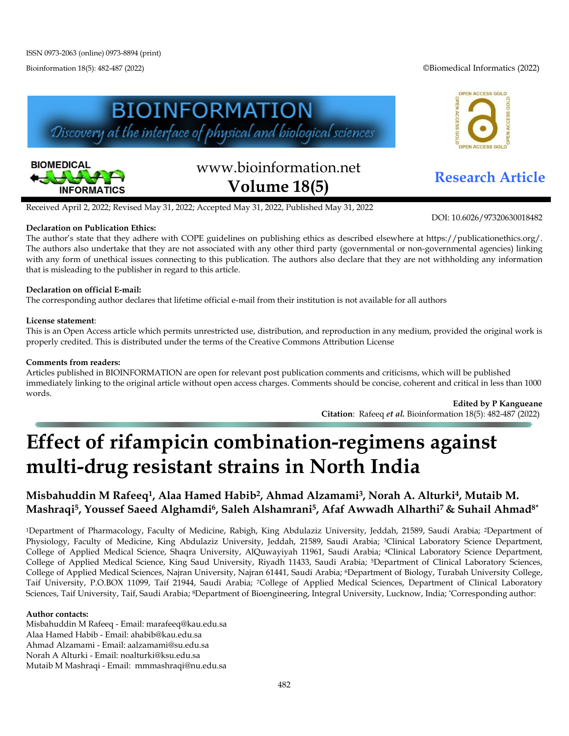Bioinformation 18(5): 482-487 (2022) ©Biomedical Informatics (2022)

OPEN ACCESS GOLD

ACCESS GO





# www.bioinformation.net **Research Article Volume 18(5)**

DOI: 10.6026/97320630018482

Received April 2, 2022; Revised May 31, 2022; Accepted May 31, 2022, Published May 31, 2022

#### **Declaration on Publication Ethics:**

The author's state that they adhere with COPE guidelines on publishing ethics as described elsewhere at https://publicationethics.org/. The authors also undertake that they are not associated with any other third party (governmental or non-governmental agencies) linking with any form of unethical issues connecting to this publication. The authors also declare that they are not withholding any information that is misleading to the publisher in regard to this article.

#### **Declaration on official E-mail:**

The corresponding author declares that lifetime official e-mail from their institution is not available for all authors

#### **License statement**:

This is an Open Access article which permits unrestricted use, distribution, and reproduction in any medium, provided the original work is properly credited. This is distributed under the terms of the Creative Commons Attribution License

#### **Comments from readers:**

Articles published in BIOINFORMATION are open for relevant post publication comments and criticisms, which will be published immediately linking to the original article without open access charges. Comments should be concise, coherent and critical in less than 1000 words.

**Edited by P Kangueane Citation**: Rafeeq *et al.* Bioinformation 18(5): 482-487 (2022)

## **Effect of rifampicin combination-regimens against multi-drug resistant strains in North India**

### **Misbahuddin M Rafeeq1, Alaa Hamed Habib2, Ahmad Alzamami3, Norah A. Alturki4, Mutaib M. Mashraqi5, Youssef Saeed Alghamdi6, Saleh Alshamrani5, Afaf Awwadh Alharthi7 & Suhail Ahmad8\***

<sup>1</sup>Department of Pharmacology, Faculty of Medicine, Rabigh, King Abdulaziz University, Jeddah, 21589, Saudi Arabia; <sup>2</sup>Department of Physiology, Faculty of Medicine, King Abdulaziz University, Jeddah, 21589, Saudi Arabia; <sup>3</sup>Clinical Laboratory Science Department, College of Applied Medical Science, Shaqra University, AlQuwayiyah 11961, Saudi Arabia; 4Clinical Laboratory Science Department, College of Applied Medical Science, King Saud University, Riyadh 11433, Saudi Arabia; 5Department of Clinical Laboratory Sciences, College of Applied Medical Sciences, Najran University, Najran 61441, Saudi Arabia; 6Department of Biology, Turabah University College, Taif University, P.O.BOX 11099, Taif 21944, Saudi Arabia; 7College of Applied Medical Sciences, Department of Clinical Laboratory Sciences, Taif University, Taif, Saudi Arabia; 8Department of Bioengineering, Integral University, Lucknow, India; \*Corresponding author:

#### **Author contacts:**

Misbahuddin M Rafeeq - Email: marafeeq@kau.edu.sa Alaa Hamed Habib - Email: ahabib@kau.edu.sa Ahmad Alzamami - Email: aalzamami@su.edu.sa Norah A Alturki - Email: noalturki@ksu.edu.sa Mutaib M Mashraqi - Email: mmmashraqi@nu.edu.sa

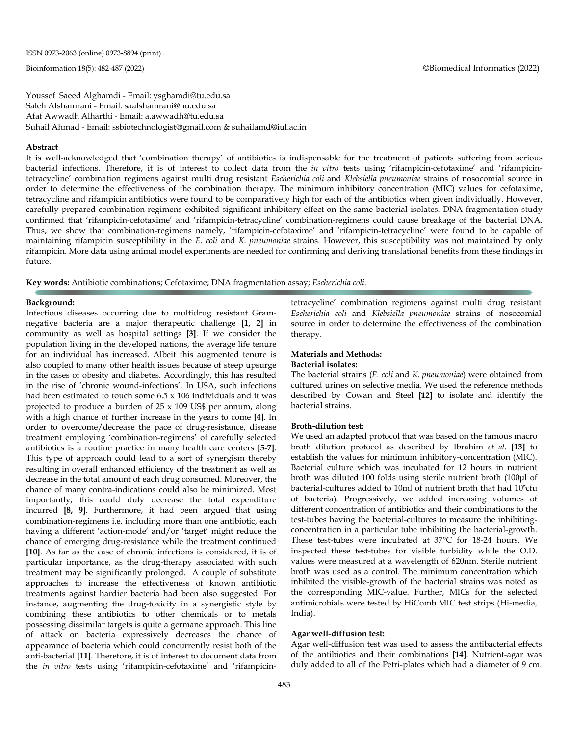Youssef Saeed Alghamdi - Email: ysghamdi@tu.edu.sa Saleh Alshamrani - Email: saalshamrani@nu.edu.sa Afaf Awwadh Alharthi - Email: a.awwadh@tu.edu.sa Suhail Ahmad - Email: ssbiotechnologist@gmail.com & suhailamd@iul.ac.in

#### **Abstract**

It is well-acknowledged that 'combination therapy' of antibiotics is indispensable for the treatment of patients suffering from serious bacterial infections. Therefore, it is of interest to collect data from the *in vitro* tests using 'rifampicin-cefotaxime' and 'rifampicintetracycline' combination regimens against multi drug resistant *Escherichia coli* and *Klebsiella pneumoniae* strains of nosocomial source in order to determine the effectiveness of the combination therapy. The minimum inhibitory concentration (MIC) values for cefotaxime, tetracycline and rifampicin antibiotics were found to be comparatively high for each of the antibiotics when given individually. However, carefully prepared combination-regimens exhibited significant inhibitory effect on the same bacterial isolates*.* DNA fragmentation study confirmed that 'rifampicin-cefotaxime' and 'rifampicin-tetracycline' combination-regimens could cause breakage of the bacterial DNA. Thus, we show that combination-regimens namely, 'rifampicin-cefotaxime' and 'rifampicin-tetracycline' were found to be capable of maintaining rifampicin susceptibility in the *E. coli* and *K. pneumoniae* strains. However, this susceptibility was not maintained by only rifampicin. More data using animal model experiments are needed for confirming and deriving translational benefits from these findings in future.

**Key words:** Antibiotic combinations; Cefotaxime; DNA fragmentation assay; *Escherichia coli*.

#### **Background:**

Infectious diseases occurring due to multidrug resistant Gramnegative bacteria are a major therapeutic challenge **[1, 2]** in community as well as hospital settings **[3]**. If we consider the population living in the developed nations, the average life tenure for an individual has increased. Albeit this augmented tenure is also coupled to many other health issues because of steep upsurge in the cases of obesity and diabetes. Accordingly, this has resulted in the rise of 'chronic wound-infections'. In USA, such infections had been estimated to touch some  $6.5 \times 106$  individuals and it was projected to produce a burden of 25 x 109 US\$ per annum, along with a high chance of further increase in the years to come **[4]**. In order to overcome/decrease the pace of drug-resistance, disease treatment employing 'combination-regimens' of carefully selected antibiotics is a routine practice in many health care centers **[5-7]**. This type of approach could lead to a sort of synergism thereby resulting in overall enhanced efficiency of the treatment as well as decrease in the total amount of each drug consumed. Moreover, the chance of many contra-indications could also be minimized. Most importantly, this could duly decrease the total expenditure incurred **[8, 9]**. Furthermore, it had been argued that using combination-regimens i.e. including more than one antibiotic, each having a different 'action-mode' and/or 'target' might reduce the chance of emerging drug-resistance while the treatment continued **[10]**. As far as the case of chronic infections is considered, it is of particular importance, as the drug-therapy associated with such treatment may be significantly prolonged. A couple of substitute approaches to increase the effectiveness of known antibiotic treatments against hardier bacteria had been also suggested. For instance, augmenting the drug-toxicity in a synergistic style by combining these antibiotics to other chemicals or to metals possessing dissimilar targets is quite a germane approach. This line of attack on bacteria expressively decreases the chance of appearance of bacteria which could concurrently resist both of the anti-bacterial **[11]**. Therefore, it is of interest to document data from the *in vitro* tests using 'rifampicin-cefotaxime' and 'rifampicintetracycline' combination regimens against multi drug resistant *Escherichia coli* and *Klebsiella pneumoniae* strains of nosocomial source in order to determine the effectiveness of the combination therapy.

#### **Materials and Methods:**

#### **Bacterial isolates:**

The bacterial strains (*E. coli* and *K. pneumoniae*) were obtained from cultured urines on selective media. We used the reference methods described by Cowan and Steel **[12]** to isolate and identify the bacterial strains.

#### **Broth-dilution test:**

We used an adapted protocol that was based on the famous macro broth dilution protocol as described by Ibrahim *et al.* **[13]** to establish the values for minimum inhibitory-concentration (MIC). Bacterial culture which was incubated for 12 hours in nutrient broth was diluted 100 folds using sterile nutrient broth (100μl of bacterial-cultures added to 10ml of nutrient broth that had 105cfu of bacteria). Progressively, we added increasing volumes of different concentration of antibiotics and their combinations to the test-tubes having the bacterial-cultures to measure the inhibitingconcentration in a particular tube inhibiting the bacterial-growth. These test-tubes were incubated at 37°C for 18-24 hours. We inspected these test-tubes for visible turbidity while the O.D. values were measured at a wavelength of 620nm. Sterile nutrient broth was used as a control. The minimum concentration which inhibited the visible-growth of the bacterial strains was noted as the corresponding MIC-value. Further, MICs for the selected antimicrobials were tested by HiComb MIC test strips (Hi-media, India).

#### **Agar well-diffusion test:**

Agar well-diffusion test was used to assess the antibacterial effects of the antibiotics and their combinations **[14]**. Nutrient-agar was duly added to all of the Petri-plates which had a diameter of 9 cm.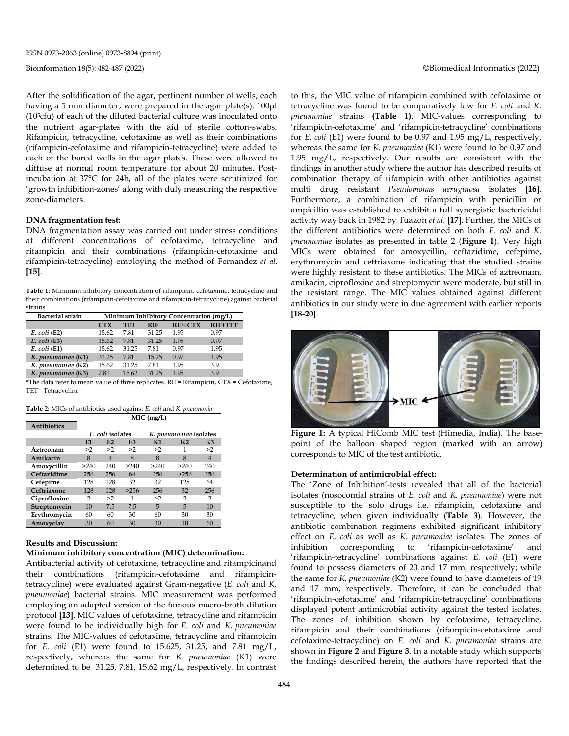After the solidification of the agar, pertinent number of wells, each having a 5 mm diameter, were prepared in the agar plate(s). 100μl (105cfu) of each of the diluted bacterial culture was inoculated onto the nutrient agar-plates with the aid of sterile cotton-swabs. Rifampicin, tetracycline, cefotaxime as well as their combinations (rifampicin-cefotaxime and rifampicin-tetracycline) were added to each of the bored wells in the agar plates. These were allowed to diffuse at normal room temperature for about 20 minutes. Postincubation at 37°C for 24h, all of the plates were scrutinized for 'growth inhibition-zones' along with duly measuring the respective zone-diameters.

#### **DNA fragmentation test:**

DNA fragmentation assay was carried out under stress conditions at different concentrations of cefotaxime, tetracycline and rifampicin and their combinations (rifampicin-cefotaxime and rifampicin-tetracycline) employing the method of Fernandez *et al.* **[15]**.

**Table 1:** Minimum inhibitory concentration of rifampicin, cefotaxime, tetracycline and their combinations (rifampicin-cefotaxime and rifampicin-tetracycline) against bacterial strains

| <b>Bacterial strain</b> | Minimum Inhibitory Concentration (mg/L) |       |            |                |         |  |
|-------------------------|-----------------------------------------|-------|------------|----------------|---------|--|
|                         | <b>CTX</b>                              | TET   | <b>RIF</b> | <b>RIF+CTX</b> | RIF+TET |  |
| $E.$ coli (E2)          | 15.62                                   | 7.81  | 31.25      | 1.95           | 0.97    |  |
| $E.$ coli (E3)          | 15.62                                   | 7.81  | 31.25      | 1.95           | 0.97    |  |
| $E.$ coli $(E1)$        | 15.62                                   | 31.25 | 7.81       | 0.97           | 1.95    |  |
| K. pneumoniae (K1)      | 31.25                                   | 7.81  | 15.25      | 0.97           | 1.95    |  |
| K. pneumoniae (K2)      | 15.62                                   | 31.25 | 7.81       | 1.95           | 3.9     |  |
| K. pneumoniae (K3)      | 7.81                                    | 15.62 | 31 25      | 195            | 39      |  |

\*The data refer to mean value of three replicates. RIF= Rifampicin,  $CTX = \text{Cefotaxime}$ , TET= Tetracycline

| Table 2: MICs of antibiotics used against E. coli and K. pneumonia |  |  |  |  |  |  |  |  |
|--------------------------------------------------------------------|--|--|--|--|--|--|--|--|
| $MIC$ (mg/L)                                                       |  |  |  |  |  |  |  |  |

#### **Antibiotics**

|              |      | E. coli isolates |                |      | K. pneumoniae isolates |                |
|--------------|------|------------------|----------------|------|------------------------|----------------|
|              | E1   | E2               | E <sub>3</sub> | K1   | K <sub>2</sub>         | K <sub>3</sub> |
| Aztreonam    | >2   | >2               | >2             | >2   | 1                      | >2             |
| Amikacin     | 8    | $\overline{4}$   | 8              | 8    | 8                      | $\overline{4}$ |
| Amoxycillin  | >240 | 240              | >240           | >240 | >240                   | 240            |
| Ceftazidime  | 256  | 256              | 64             | 256  | >256                   | 256            |
| Cefepime     | 128  | 128              | 32             | 32   | 128                    | 64             |
| Ceftriaxone  | 128  | 128              | >256           | 256  | 32                     | 256            |
| Ciprofloxine | 2    | >2               | 1              | >2   | 2                      | 2              |
| Streptomycin | 10   | 7.5              | 7.5            | 5    | 5                      | 10             |
| Erythromycin | 60   | 60               | 30             | 60   | 30                     | 30             |
| Amoxyclav    | 30   | 60               | 30             | 30   | 10                     | 60             |

#### **Results and Discussion:**

#### **Minimum inhibitory concentration (MIC) determination:**

Antibacterial activity of cefotaxime, tetracycline and rifampicinand their combinations (rifampicin-cefotaxime and rifampicintetracycline) were evaluated against Gram-negative (*E. coli* and *K. pneumoniae*) bacterial strains. MIC measurement was performed employing an adapted version of the famous macro-broth dilution protocol **[13]**. MIC values of cefotaxime, tetracycline and rifampicin were found to be individually high for *E. coli* and *K. pneumoniae* strains. The MIC-values of cefotaxime, tetracycline and rifampicin for *E. coli* (E1) were found to 15.625, 31.25, and 7.81 mg/L, respectively, whereas the same for *K. pneumoniae* (K1) were determined to be 31.25, 7.81, 15.62 mg/L, respectively. In contrast to this, the MIC value of rifampicin combined with cefotaxime or tetracycline was found to be comparatively low for *E. coli* and *K. pneumoniae* strains **(Table 1)**. MIC-values corresponding to 'rifampicin-cefotaxime' and 'rifampicin-tetracycline' combinations for *E. coli* (E1) were found to be 0.97 and 1.95 mg/L, respectively, whereas the same for *K. pneumoniae* (K1) were found to be 0.97 and 1.95 mg/L, respectively. Our results are consistent with the findings in another study where the author has described results of combination therapy of rifampicin with other antibiotics against multi drug resistant *Pseudomonas aeruginosa* isolates **[16]**. Furthermore, a combination of rifampicin with penicillin or ampicillin was established to exhibit a full synergistic bactericidal activity way back in 1982 by Tuazon *et al.* **[17]**. Further, the MICs of the different antibiotics were determined on both *E. coli* and *K. pneumoniae* isolates as presented in table 2 (**Figure 1**). Very high MICs were obtained for amoxycillin, ceftazidime, cefepime, erythromycin and ceftriaxone indicating that the studied strains were highly resistant to these antibiotics. The MICs of aztreonam, amikacin, ciprofloxine and streptomycin were moderate, but still in the resistant range. The MIC values obtained against different antibiotics in our study were in due agreement with earlier reports **[18-20]**.



**Figure 1:** A typical HiComb MIC test (Himedia, India). The basepoint of the balloon shaped region (marked with an arrow) corresponds to MIC of the test antibiotic.

#### **Determination of antimicrobial effect:**

The 'Zone of Inhibition'-tests revealed that all of the bacterial isolates (nosocomial strains of *E. coli* and *K. pneumoniae*) were not susceptible to the solo drugs i.e. rifampicin, cefotaxime and tetracycline*,* when given individually (**Table 3**). However, the antibiotic combination regimens exhibited significant inhibitory effect on *E. coli* as well as *K. pneumoniae* isolates*.* The zones of inhibition corresponding to 'rifampicin-cefotaxime' and 'rifampicin-tetracycline' combinations against *E. coli* (E1) were found to possess diameters of 20 and 17 mm, respectively; while the same for *K. pneumoniae* (K2) were found to have diameters of 19 and 17 mm, respectively. Therefore, it can be concluded that 'rifampicin-cefotaxime' and 'rifampicin-tetracycline' combinations displayed potent antimicrobial activity against the tested isolates. The zones of inhibition shown by cefotaxime, tetracycline*,*  rifampicin and their combinations (rifampicin-cefotaxime and cefotaxime-tetracycline) on *E. coli* and *K. pneumoniae* strains are shown in **Figure 2** and **Figure 3**. In a notable study which supports the findings described herein, the authors have reported that the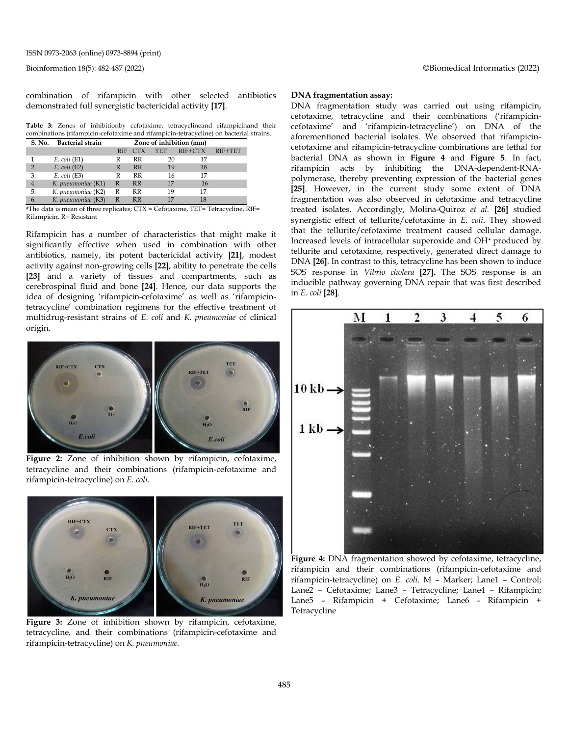Bioinformation 18(5): 482-487 (2022) ©Biomedical Informatics (2022)

combination of rifampicin with other selected antibiotics demonstrated full synergistic bactericidal activity **[17]**.

**Table 3:** Zones of inhibitionby cefotaxime, tetracyclineand rifampicinand their combinations (rifampicin-cefotaxime and rifampicin-tetracycline) on bacterial strains.

| S. No. | <b>Bacterial strain</b> | Zone of inhibition (mm) |         |            |           |         |
|--------|-------------------------|-------------------------|---------|------------|-----------|---------|
|        |                         |                         | RIF CTX | <b>TET</b> | $RIF+CTX$ | RIF+TET |
|        | $E. \text{ coli}$ (E1)  |                         | RR      | 20         |           |         |
| 2.     | $E.$ coli (E2)          | R                       | RR      | 19         | 18        |         |
| 3.     | $E.$ coli $(E3)$        | R                       | RR      | 16         | 17        |         |
| 4.     | K. pneumoniae (K1)      | R                       | RR      | 17         | 16        |         |
| 5.     | K. pneumoniae (K2)      | R                       | RR      | 19         | 17        |         |
| 6.     | K. pneumoniae (K3)      | R                       | RR      |            | 18        |         |

<sup>#</sup>The data is mean of three replicates; CTX = Cefotaxime, TET= Tetracycline, RIF= Rifampicin, R= Resistant

Rifampicin has a number of characteristics that might make it significantly effective when used in combination with other antibiotics, namely, its potent bactericidal activity **[21]**, modest activity against non-growing cells **[22]**, ability to penetrate the cells **[23]** and a variety of tissues and compartments, such as cerebrospinal fluid and bone **[24]**. Hence, our data supports the idea of designing 'rifampicin-cefotaxime' as well as 'rifampicintetracycline' combination regimens for the effective treatment of multidrug-resistant strains of *E. coli* and *K. pneumoniae* of clinical origin.



**Figure 2:** Zone of inhibition shown by rifampicin, cefotaxime, tetracycline and their combinations (rifampicin-cefotaxime and rifampicin-tetracycline) on *E. coli.*



**Figure 3:** Zone of inhibition shown by rifampicin, cefotaxime, tetracycline*,* and their combinations (rifampicin-cefotaxime and rifampicin-tetracycline) on *K. pneumoniae.*

#### **DNA fragmentation assay:**

DNA fragmentation study was carried out using rifampicin, cefotaxime, tetracycline and their combinations ('rifampicincefotaxime' and 'rifampicin-tetracycline') on DNA of the aforementioned bacterial isolates. We observed that rifampicincefotaxime and rifampicin-tetracycline combinations are lethal for bacterial DNA as shown in **Figure 4** and **Figure 5**. In fact, rifampicin acts by inhibiting the DNA-dependent-RNApolymerase, thereby preventing expression of the bacterial genes **[25]**. However, in the current study some extent of DNA fragmentation was also observed in cefotaxime and tetracycline treated isolates. Accordingly, Molina-Quiroz *et al.* **[26]** studied synergistic effect of tellurite/cefotaxime in *E. coli*. They showed that the tellurite/cefotaxime treatment caused cellular damage. Increased levels of intracellular superoxide and OH• produced by tellurite and cefotaxime, respectively, generated direct damage to DNA **[26]**. In contrast to this, tetracycline has been shown to induce SOS response in *Vibrio cholera* **[27].** The SOS response is an inducible pathway governing DNA repair that was first described in *E. coli* **[28]**.



**Figure 4:** DNA fragmentation showed by cefotaxime, tetracycline, rifampicin and their combinations (rifampicin-cefotaxime and rifampicin-tetracycline) on *E. coli*. M – Marker; Lane1 – Control; Lane2 – Cefotaxime; Lane3 – Tetracycline; Lane4 – Rifampicin; Lane5 – Rifampicin + Cefotaxime; Lane6 - Rifampicin + Tetracycline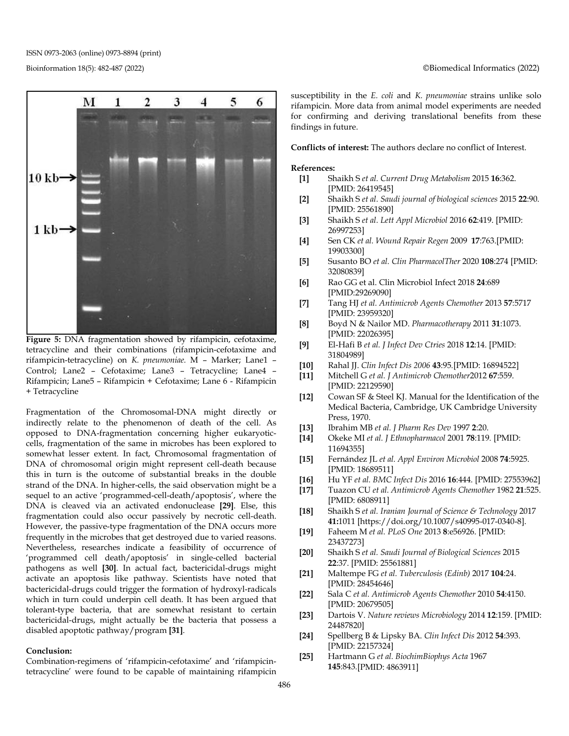ISSN 0973-2063 (online) 0973-8894 (print)



**Figure 5:** DNA fragmentation showed by rifampicin, cefotaxime, tetracycline and their combinations (rifampicin-cefotaxime and rifampicin-tetracycline) on *K. pneumoniae.* M – Marker; Lane1 – Control; Lane2 – Cefotaxime; Lane3 – Tetracycline; Lane4 – Rifampicin; Lane5 – Rifampicin + Cefotaxime; Lane 6 - Rifampicin + Tetracycline

Fragmentation of the Chromosomal-DNA might directly or indirectly relate to the phenomenon of death of the cell. As opposed to DNA-fragmentation concerning higher eukaryoticcells, fragmentation of the same in microbes has been explored to somewhat lesser extent. In fact, Chromosomal fragmentation of DNA of chromosomal origin might represent cell-death because this in turn is the outcome of substantial breaks in the double strand of the DNA. In higher-cells, the said observation might be a sequel to an active 'programmed-cell-death/apoptosis', where the DNA is cleaved via an activated endonuclease **[29]**. Else, this fragmentation could also occur passively by necrotic cell-death. However, the passive-type fragmentation of the DNA occurs more frequently in the microbes that get destroyed due to varied reasons. Nevertheless, researches indicate a feasibility of occurrence of 'programmed cell death/apoptosis' in single-celled bacterial pathogens as well **[30]**. In actual fact, bactericidal-drugs might activate an apoptosis like pathway. Scientists have noted that bactericidal-drugs could trigger the formation of hydroxyl-radicals which in turn could underpin cell death. It has been argued that tolerant-type bacteria, that are somewhat resistant to certain bactericidal-drugs, might actually be the bacteria that possess a disabled apoptotic pathway/program **[31]**.

#### **Conclusion:**

Combination-regimens of 'rifampicin-cefotaxime' and 'rifampicintetracycline' were found to be capable of maintaining rifampicin susceptibility in the *E. coli* and *K. pneumoniae* strains unlike solo rifampicin. More data from animal model experiments are needed for confirming and deriving translational benefits from these findings in future.

**Conflicts of interest:** The authors declare no conflict of Interest.

#### **References:**

- **[1]** Shaikh S *et al. Current Drug Metabolism* 2015 **16**:362. [PMID: 26419545]
- **[2]** Shaikh S *et al. Saudi journal of biological sciences* 2015 **22**:90. [PMID: 25561890]
- **[3]** Shaikh S *et al. Lett Appl Microbiol* 2016 **62**:419. [PMID: 26997253]
- **[4]** Sen CK *et al. Wound Repair Regen* 2009 **17**:763.[PMID: 19903300]
- **[5]** Susanto BO *et al. Clin PharmacolTher* 2020 **108**:274 [PMID: 32080839]
- **[6]** Rao GG et al. Clin Microbiol Infect 2018 **24**:689 [PMID:29269090]
- **[7]** Tang HJ *et al. Antimicrob Agents Chemother* 2013 **57**:5717 [PMID: 23959320]
- **[8]** Boyd N & Nailor MD. *Pharmacotherapy* 2011 **31**:1073. [PMID: 22026395]
- **[9]** El-Hafi B *et al. J Infect Dev Ctries* 2018 **12**:14. [PMID: 31804989]
- **[10]** Rahal JJ. *Clin Infect Dis 2006* **43**:95.[PMID: 16894522]
- **[11]** Mitchell G *et al. J Antimicrob Chemother*2012 **67**:559. [PMID: 22129590]
- **[12]** Cowan SF & Steel KJ. Manual for the Identification of the Medical Bacteria, Cambridge, UK Cambridge University Press, 1970.
- **[13]** Ibrahim MB *et al. J Pharm Res Dev* 1997 **2**:20.
- **[14]** Okeke MI *et al. J Ethnopharmacol* 2001 **78**:119. [PMID: 11694355]
- **[15]** Fernández JL *et al. Appl Environ Microbiol* 2008 **74**:5925. [PMID: 18689511]
- **[16]** Hu YF *et al. BMC Infect Dis* 2016 **16**:444. [PMID: 27553962]
- **[17]** Tuazon CU *et al. Antimicrob Agents Chemother* 1982 **21**:525. [PMID: 6808911]
- **[18]** Shaikh S *et al. Iranian Journal of Science & Technology* 2017 **41:**1011 [https://doi.org/10.1007/s40995-017-0340-8].
- **[19]** Faheem M *et al. PLoS One* 2013 **8**:e56926. [PMID: 23437273]
- **[20]** Shaikh S *et al. Saudi Journal of Biological Sciences* 2015 **22**:37. [PMID: 25561881]
- **[21]** Maltempe FG *et al. Tuberculosis (Edinb)* 2017 **104**:24. [PMID: 28454646]
- **[22]** Sala C *et al. Antimicrob Agents Chemother* 2010 **54**:4150. [PMID: 20679505]
- **[23]** Dartois V. *Nature reviews Microbiology* 2014 **12**:159. [PMID: 24487820]
- **[24]** Spellberg B & Lipsky BA. *Clin Infect Dis* 2012 **54**:393. [PMID: 22157324]
- **[25]** Hartmann G *et al. BiochimBiophys Acta* 1967 **145**:843.[PMID: 4863911]